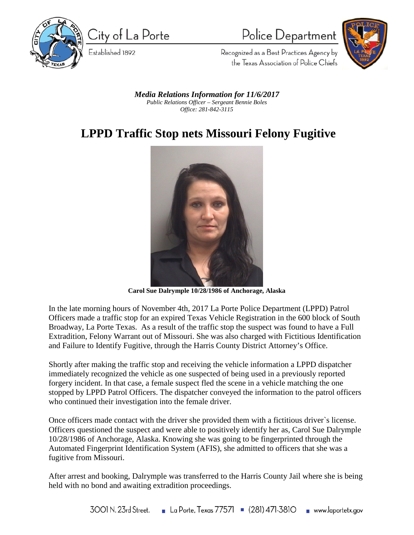

City of La Porte

Established 1892

Police Department



Recognized as a Best Practices Agency by the Texas Association of Police Chiefs

*Media Relations Information for 11/6/2017 Public Relations Officer – Sergeant Bennie Boles Office: 281-842-3115*

## **LPPD Traffic Stop nets Missouri Felony Fugitive**



**Carol Sue Dalrymple 10/28/1986 of Anchorage, Alaska**

In the late morning hours of November 4th, 2017 La Porte Police Department (LPPD) Patrol Officers made a traffic stop for an expired Texas Vehicle Registration in the 600 block of South Broadway, La Porte Texas. As a result of the traffic stop the suspect was found to have a Full Extradition, Felony Warrant out of Missouri. She was also charged with Fictitious Identification and Failure to Identify Fugitive, through the Harris County District Attorney's Office.

Shortly after making the traffic stop and receiving the vehicle information a LPPD dispatcher immediately recognized the vehicle as one suspected of being used in a previously reported forgery incident. In that case, a female suspect fled the scene in a vehicle matching the one stopped by LPPD Patrol Officers. The dispatcher conveyed the information to the patrol officers who continued their investigation into the female driver.

Once officers made contact with the driver she provided them with a fictitious driver`s license. Officers questioned the suspect and were able to positively identify her as, Carol Sue Dalrymple 10/28/1986 of Anchorage, Alaska. Knowing she was going to be fingerprinted through the Automated Fingerprint Identification System (AFIS), she admitted to officers that she was a fugitive from Missouri.

After arrest and booking, Dalrymple was transferred to the Harris County Jail where she is being held with no bond and awaiting extradition proceedings.